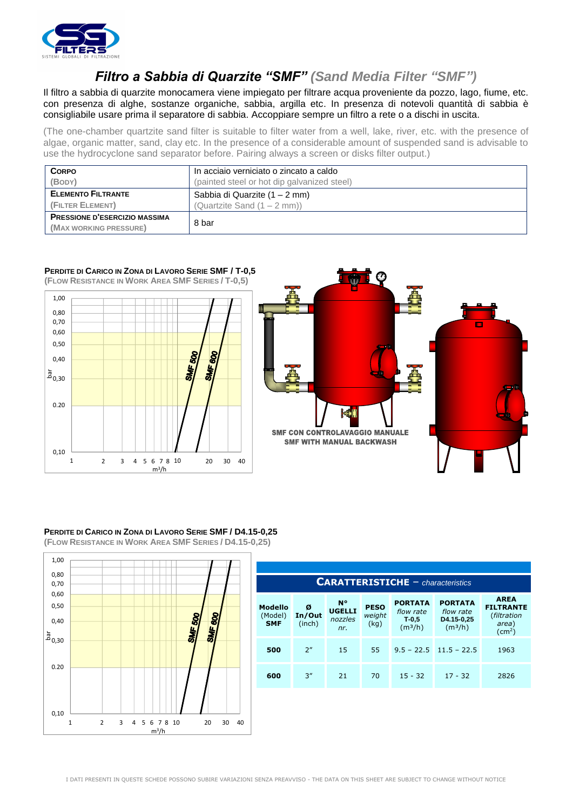

## *Filtro a Sabbia di Quarzite "SMF" (Sand Media Filter "SMF")*

Il filtro a sabbia di quarzite monocamera viene impiegato per filtrare acqua proveniente da pozzo, lago, fiume, etc. con presenza di alghe, sostanze organiche, sabbia, argilla etc. In presenza di notevoli quantità di sabbia è consigliabile usare prima il separatore di sabbia. Accoppiare sempre un filtro a rete o a dischi in uscita.

(The one-chamber quartzite sand filter is suitable to filter water from a well, lake, river, etc. with the presence of algae, organic matter, sand, clay etc. In the presence of a considerable amount of suspended sand is advisable to use the hydrocyclone sand separator before. Pairing always a screen or disks filter output.)

| <b>CORPO</b>                         | In acciaio verniciato o zincato a caldo     |  |  |  |
|--------------------------------------|---------------------------------------------|--|--|--|
| (BODY)                               | (painted steel or hot dip galvanized steel) |  |  |  |
| <b>ELEMENTO FILTRANTE</b>            | Sabbia di Quarzite (1 – 2 mm)               |  |  |  |
| (FILTER ELEMENT)                     | (Quartzite Sand $(1 - 2$ mm))               |  |  |  |
| <b>PRESSIONE D'ESERCIZIO MASSIMA</b> |                                             |  |  |  |
| (MAX WORKING PRESSURE)               | 8 bar                                       |  |  |  |

## **PERDITE DI CARICO IN ZONA DI LAVORO SERIE SMF / T-0,5**

**(FLOW RESISTANCE IN WORK AREA SMF SERIES / T-0,5)**





## **PERDITE DI CARICO IN ZONA DI LAVORO SERIE SMF / D4.15-0,25 (FLOW RESISTANCE IN WORK AREA SMF SERIES / D4.15-0,25)**



| <b>CARATTERISTICHE</b> $-$ <i>characteristics</i> |                       |                                              |                               |                                                               |                                                                  |                                                                               |
|---------------------------------------------------|-----------------------|----------------------------------------------|-------------------------------|---------------------------------------------------------------|------------------------------------------------------------------|-------------------------------------------------------------------------------|
| <b>Modello</b><br>(Model)<br><b>SMF</b>           | Ø<br>In/Out<br>(inch) | <b>N°</b><br><b>UGELLI</b><br>nozzles<br>nr. | <b>PESO</b><br>weight<br>(kq) | <b>PORTATA</b><br>flow rate<br>$T-0.5$<br>(m <sup>3</sup> /h) | <b>PORTATA</b><br>flow rate<br>D4.15-0,25<br>(m <sup>3</sup> /h) | <b>AREA</b><br><b>FILTRANTE</b><br>(filtration<br>area)<br>(cm <sup>2</sup> ) |
| 500                                               | 2"                    | 15                                           | 55                            |                                                               | $9.5 - 22.5$ 11.5 - 22.5                                         | 1963                                                                          |
| 600                                               | 3''                   | 21                                           | 70                            | $15 - 32$                                                     | $17 - 32$                                                        | 2826                                                                          |
|                                                   |                       |                                              |                               |                                                               |                                                                  |                                                                               |